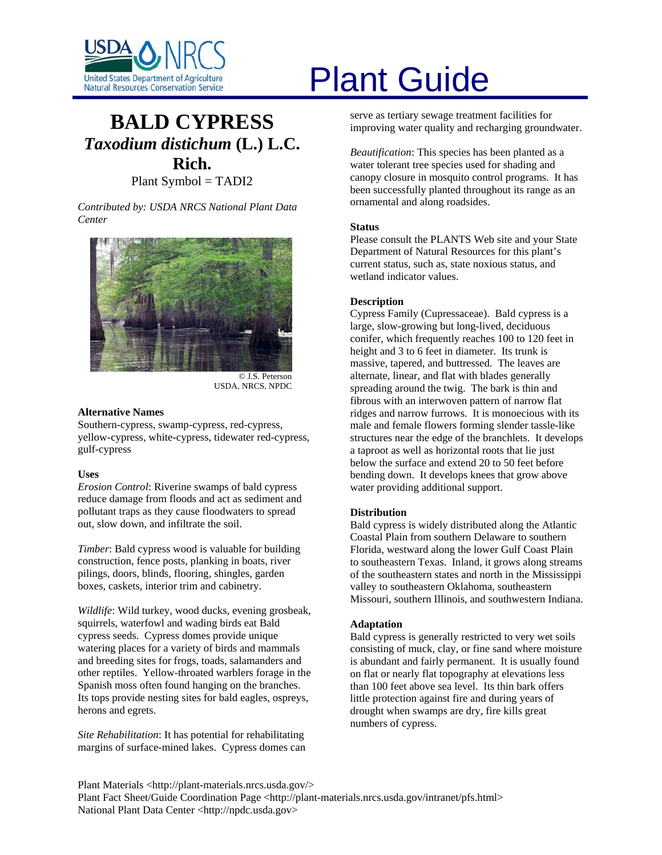

# **BALD CYPRESS** *Taxodium distichum* **(L.) L.C. Rich.**  Plant Symbol = TADI2

*Contributed by: USDA NRCS National Plant Data Center* 



© J.S. Peterson USDA, NRCS, NPDC

# **Alternative Names**

Southern-cypress, swamp-cypress, red-cypress, yellow-cypress, white-cypress, tidewater red-cypress, gulf-cypress

# **Uses**

*Erosion Control*: Riverine swamps of bald cypress reduce damage from floods and act as sediment and pollutant traps as they cause floodwaters to spread out, slow down, and infiltrate the soil.

*Timber*: Bald cypress wood is valuable for building construction, fence posts, planking in boats, river pilings, doors, blinds, flooring, shingles, garden boxes, caskets, interior trim and cabinetry.

*Wildlife*: Wild turkey, wood ducks, evening grosbeak, squirrels, waterfowl and wading birds eat Bald cypress seeds. Cypress domes provide unique watering places for a variety of birds and mammals and breeding sites for frogs, toads, salamanders and other reptiles. Yellow-throated warblers forage in the Spanish moss often found hanging on the branches. Its tops provide nesting sites for bald eagles, ospreys, herons and egrets.

*Site Rehabilitation*: It has potential for rehabilitating margins of surface-mined lakes. Cypress domes can

# United States Department of Agriculture<br>Natural Resources Conservation Service

serve as tertiary sewage treatment facilities for improving water quality and recharging groundwater.

*Beautification*: This species has been planted as a water tolerant tree species used for shading and canopy closure in mosquito control programs. It has been successfully planted throughout its range as an ornamental and along roadsides.

# **Status**

Please consult the PLANTS Web site and your State Department of Natural Resources for this plant's current status, such as, state noxious status, and wetland indicator values.

# **Description**

Cypress Family (Cupressaceae). Bald cypress is a large, slow-growing but long-lived, deciduous conifer, which frequently reaches 100 to 120 feet in height and 3 to 6 feet in diameter. Its trunk is massive, tapered, and buttressed. The leaves are alternate, linear, and flat with blades generally spreading around the twig. The bark is thin and fibrous with an interwoven pattern of narrow flat ridges and narrow furrows. It is monoecious with its male and female flowers forming slender tassle-like structures near the edge of the branchlets. It develops a taproot as well as horizontal roots that lie just below the surface and extend 20 to 50 feet before bending down. It develops knees that grow above water providing additional support.

# **Distribution**

Bald cypress is widely distributed along the Atlantic Coastal Plain from southern Delaware to southern Florida, westward along the lower Gulf Coast Plain to southeastern Texas. Inland, it grows along streams of the southeastern states and north in the Mississippi valley to southeastern Oklahoma, southeastern Missouri, southern Illinois, and southwestern Indiana.

# **Adaptation**

Bald cypress is generally restricted to very wet soils consisting of muck, clay, or fine sand where moisture is abundant and fairly permanent. It is usually found on flat or nearly flat topography at elevations less than 100 feet above sea level. Its thin bark offers little protection against fire and during years of drought when swamps are dry, fire kills great numbers of cypress.

Plant Materials <http://plant-materials.nrcs.usda.gov/> Plant Fact Sheet/Guide Coordination Page <http://plant-materials.nrcs.usda.gov/intranet/pfs.html> National Plant Data Center <http://npdc.usda.gov>